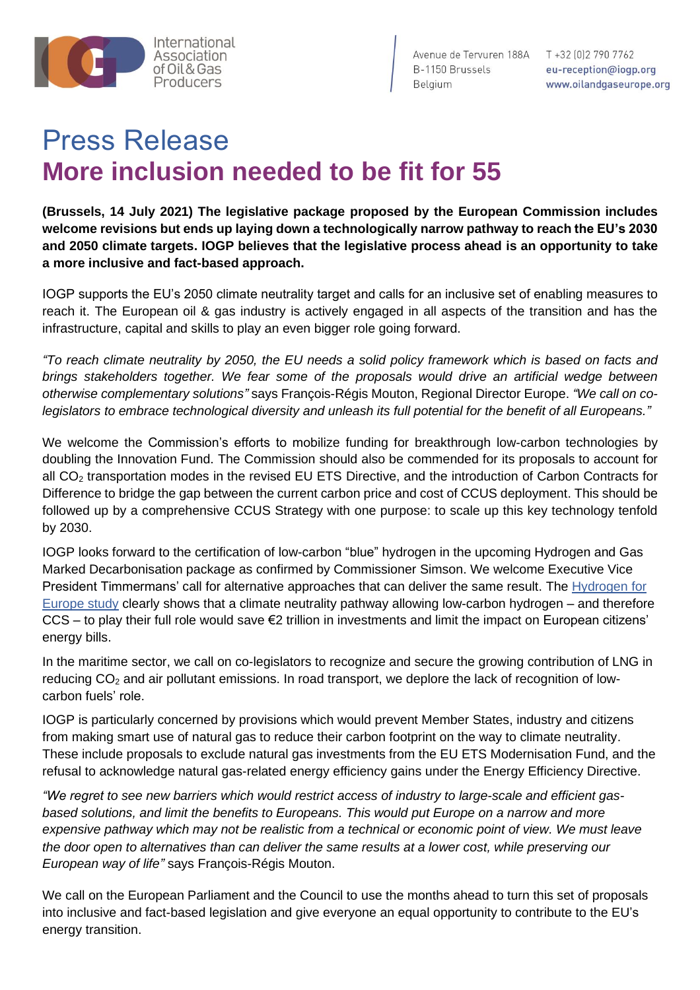

Avenue de Tervuren 188A T +32 (0) 2 790 7762 B-1150 Brussels eu-reception@iogp.org Belaium

www.oilandgaseurope.org

## Press Release **More inclusion needed to be fit for 55**

**(Brussels, 14 July 2021) The legislative package proposed by the European Commission includes welcome revisions but ends up laying down a technologically narrow pathway to reach the EU's 2030 and 2050 climate targets. IOGP believes that the legislative process ahead is an opportunity to take a more inclusive and fact-based approach.**

IOGP supports the EU's 2050 climate neutrality target and calls for an inclusive set of enabling measures to reach it. The European oil & gas industry is actively engaged in all aspects of the transition and has the infrastructure, capital and skills to play an even bigger role going forward.

*"To reach climate neutrality by 2050, the EU needs a solid policy framework which is based on facts and brings stakeholders together. We fear some of the proposals would drive an artificial wedge between otherwise complementary solutions"* says François-Régis Mouton, Regional Director Europe. *"We call on colegislators to embrace technological diversity and unleash its full potential for the benefit of all Europeans."*

We welcome the Commission's efforts to mobilize funding for breakthrough low-carbon technologies by doubling the Innovation Fund. The Commission should also be commended for its proposals to account for all CO<sub>2</sub> transportation modes in the revised EU ETS Directive, and the introduction of Carbon Contracts for Difference to bridge the gap between the current carbon price and cost of CCUS deployment. This should be followed up by a comprehensive CCUS Strategy with one purpose: to scale up this key technology tenfold by 2030.

IOGP looks forward to the certification of low-carbon "blue" hydrogen in the upcoming Hydrogen and Gas Marked Decarbonisation package as confirmed by Commissioner Simson. We welcome Executive Vice President Timmermans' call for alternative approaches that can deliver the same result. The [Hydrogen for](https://2d214584-e7cb-4bc2-bea8-d8b7122be636.filesusr.com/ugd/2c85cf_129344b2ac0947e58ea570102d20f130.pdf)  [Europe study](https://2d214584-e7cb-4bc2-bea8-d8b7122be636.filesusr.com/ugd/2c85cf_129344b2ac0947e58ea570102d20f130.pdf) clearly shows that a climate neutrality pathway allowing low-carbon hydrogen – and therefore CCS – to play their full role would save €2 trillion in investments and limit the impact on European citizens' energy bills.

In the maritime sector, we call on co-legislators to recognize and secure the growing contribution of LNG in reducing CO<sub>2</sub> and air pollutant emissions. In road transport, we deplore the lack of recognition of lowcarbon fuels' role.

IOGP is particularly concerned by provisions which would prevent Member States, industry and citizens from making smart use of natural gas to reduce their carbon footprint on the way to climate neutrality. These include proposals to exclude natural gas investments from the EU ETS Modernisation Fund, and the refusal to acknowledge natural gas-related energy efficiency gains under the Energy Efficiency Directive.

*"We regret to see new barriers which would restrict access of industry to large-scale and efficient gasbased solutions, and limit the benefits to Europeans. This would put Europe on a narrow and more expensive pathway which may not be realistic from a technical or economic point of view. We must leave the door open to alternatives than can deliver the same results at a lower cost, while preserving our European way of life"* says François-Régis Mouton.

We call on the European Parliament and the Council to use the months ahead to turn this set of proposals into inclusive and fact-based legislation and give everyone an equal opportunity to contribute to the EU's energy transition.